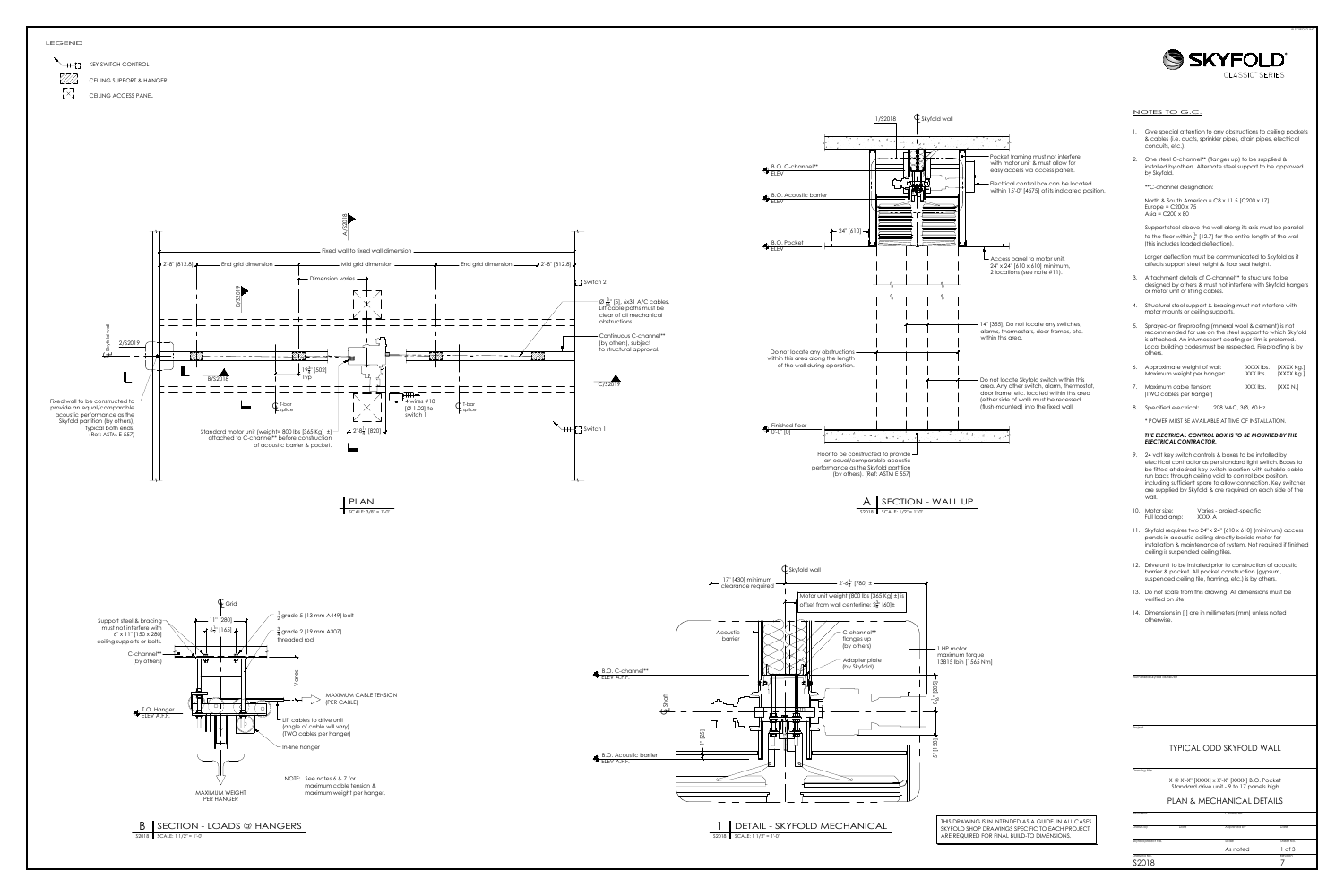



- 
- 

- 
- 
- 
- 
- 
- 

- 
- 
- 
- 
- 
- 

Project<br>
Drawing title Sky (SKY Marty Contract)<br>
Skyfold project No. Date Skyfold project No. No. 2012<br>
Architect Contractor Contractor Contractor Contractor Prown by Date Approved by Date Approved by Date Skyfold project